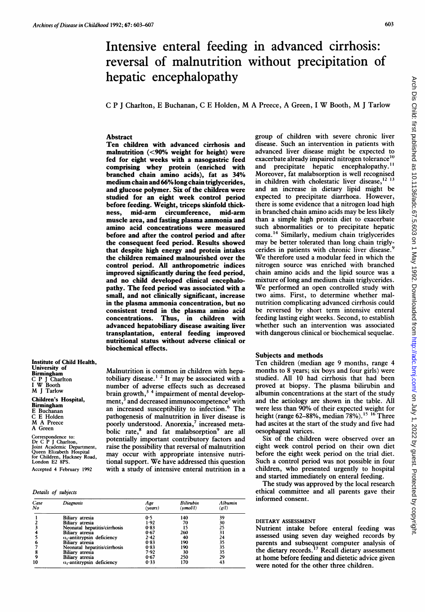# Intensive enteral feeding in advanced cirrhosis: reversal of malnutrition without precipitation of hepatic encephalopathy

<sup>C</sup> <sup>P</sup> <sup>J</sup> Charlton, <sup>E</sup> Buchanan, <sup>C</sup> <sup>E</sup> Holden, M A Preece, <sup>A</sup> Green, <sup>I</sup> W Booth, M <sup>J</sup> Tarlow

# Abstract

Ten children with advanced cirrhosis and malnutrition (<90% weight for height) were fed for eight weeks with a nasogastric feed comprising whey protein (enriched with branched chain amino acids), fat as 34% medium chain and 66%long chain triglycerides, and glucose polymer. Six of the children were studied for an eight week control period before feeding. Weight, triceps skinfold thick-<br>ness, mid-arm circumference, mid-arm ness, mid-arm muscle area, and fasting plasma ammonia and amino acid concentrations were measured before and after the control period and after the consequent feed period. Results showed that despite high energy and protein intakes the children remained malnourished over the control period. All anthropometric indices improved significantly during the feed period, and no child developed clinical encephalopathy. The feed period was associated with a small, and not clinically significant, increase in the plasma ammonia concentration, but no consistent trend in the plasma amino acid Thus, in children with advanced hepatobiliary disease awaiting liver transplantation, enteral feeding improved nutritional status without adverse clinical or biochemical effects.

Malnutrition is common in children with hepatobiliary disease.<sup> $12$ </sup> It may be associated with a number of adverse effects such as decreased brain growth, $3/4$  impairment of mental development,<sup>3</sup> and decreased immunocompetence<sup>5</sup> with an increased susceptibility to infection.<sup>6</sup> The pathogenesis of malnutrition in liver disease is poorly understood. Anorexia,' increased metabolic rate,<sup>8</sup> and fat malabsorption<sup>9</sup> are all potentially important contributory factors and raise the possibility that reversal of malnutrition may occur with appropriate intensive nutritional support. We have addressed this question with a study of intensive enteral nutrition in a

Institute of Child Health, University of Birmingham C P <sup>J</sup> Charlton <sup>I</sup> W Booth M <sup>J</sup> Tarlow Children's Hospital, Birmingham E Buchanan C E Holden M A Preece A Green

Correspondence to: Dr C P <sup>J</sup> Charlton, Joint Academic Department, Queen Elizabeth Hospital for Children, Hackney Road, London E2 8PS. Accepted 4 February 1992

## Details of subjects

| Case<br>No | Diagnosis                          | Age<br>(years) | Bilirubin<br>$(\mathbf{nmol}/l)$ | Albumin<br>( g l) |
|------------|------------------------------------|----------------|----------------------------------|-------------------|
|            | Biliary atresia                    | 0.5            | 140                              | 39                |
|            | <b>Biliary</b> atresia             | 1.92           | 70                               | 30                |
|            | Neonatal hepatitis/cirrhosis       | 0.83           | 15                               | 25                |
|            | Biliary atresia                    | 0.67           | 260                              | 31                |
|            | $\alpha_1$ -antitrypsin deficiency | 2.42           | 40                               | 24                |
|            | <b>Biliary</b> atresia             | 0.83           | 190                              | 35                |
|            | Neonatal hepatitis/cirrhosis       | 0.83           | 190                              | 35                |
|            | <b>Biliary</b> atresia             | 7.92           | 30                               | 35                |
|            | Biliary atresia                    | 0.67           | 250                              | 29                |
| 10         | $\alpha_1$ -antitrypsin deficiency | 0.33           | 170                              | 43                |

group of children with severe chronic liver disease. Such an intervention in patients with advanced liver disease might be expected to exacerbate already impaired nitrogen tolerance $^{10}$ and precipitate hepatic encephalopathy.<sup>11</sup> Moreover, fat malabsorption is well recognised in children with cholestatic liver disease, $12$  13 and an increase in dietary lipid might be expected to precipitate diarrhoea. However, there is some evidence that a nitrogen load high in branched chain amino acids may be less likely than a simple high protein diet to exacerbate such abnormalities or to precipitate hepatic coma.'4 Similarly, medium chain triglycerides may be better tolerated than long chain triglycerides in patients with chronic liver disease. We therefore used <sup>a</sup> modular feed in which the nitrogen source was enriched with branched chain amino acids and the lipid source was a mixture of long and medium chain triglycerides. We performed an open controlled study with two aims. First, to determine whether malnutrition complicating advanced cirrhosis could be reversed by short term intensive enteral feeding lasting eight weeks. Second, to establish whether such an intervention was associated with dangerous clinical or biochemical sequelae.

## Subjects and methods

Ten children (median age 9 months, range 4 months to 8 years; six boys and four girls) were studied. All 10 had cirrhosis that had been proved at biopsy. The plasma bilirubin and albumin concentrations at the start of the study and the aetiology are shown in the table. All were less than 90% of their expected weight for height (range 62-88%, median 78%).<sup>15 16</sup> Three had ascites at the start of the study and five had oesophageal varices.

Six of the children were observed over an eight week control period on their own diet before the eight week period on the trial diet. Such a control period was not possible in four children, who presented urgently to hospital and started immediately on enteral feeding.

The study was approved by the local research ethical committee and all parents gave their informed consent.

## DIETARY ASSESSMENT

Nutrient intake before enteral feeding was assessed using seven day weighed records by parents and subsequent computer analysis of the dietary records.<sup>17</sup> Recall dietary assessment at home before feeding and dietetic advice given were noted for the other three children.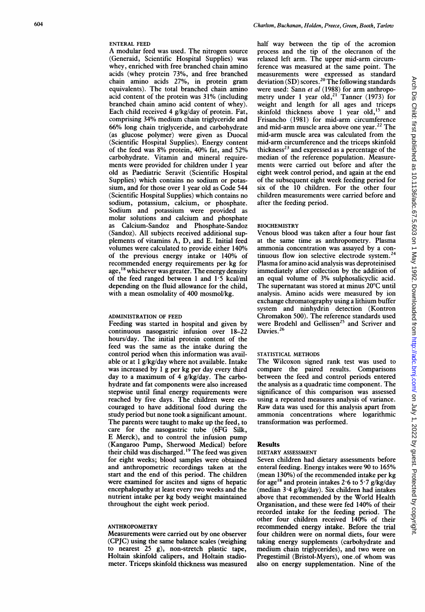## ENTERAL FEED

A modular feed was used. The nitrogen source (Generaid, Scientific Hospital Supplies) was whey, enriched with free branched chain amino acids (whey protein 73%, and free branched chain amino acids 27%, in protein gram equivalents). The total branched chain amino acid content of the protein was 31% (including branched chain amino acid content of whey). Each child received 4 g/kg/day of protein. Fat, comprising 34% medium chain triglyceride and 66% long chain triglyceride, and carbohydrate (as glucose polymer) were given as Duocal (Scientific Hospital Supplies). Energy content of the feed was 8% protein, 40% fat, and 52% carbohydrate. Vitamin and mineral requirements were provided for children under <sup>1</sup> year old as Paediatric Seravit (Scientific Hospital Supplies) which contains no sodium or potassium, and for those over <sup>1</sup> year old as Code 544 (Scientific Hospital Supplies) which contains no sodium, potassium, calcium, or phosphate. Sodium and potassium were provided as molar solutions and calcium and phosphate as Calcium-Sandoz and Phosphate-Sandoz (Sandoz). All subjects received additional supplements of vitamins A, D, and E. Initial feed volumes were calculated to provide either 140% of the previous energy intake or 140% of recommended energy requirements per. kg for age,<sup>18</sup> whichever was greater. The energy density of the feed ranged between <sup>1</sup> and 1-5 kcal/ml depending on the fluid allowance for the child, with a mean osmolality of 400 mosmol/kg.

## ADMINISTRATION OF FEED

Feeding was started in hospital and given by continuous nasogastric infusion over 18-22 hours/day. The initial protein content of the feed was the same as the intake during the control period when this information was available or at <sup>1</sup> g/kg/day where not available. Intake was increased by 1 g per kg per day every third day to <sup>a</sup> maximum of 4 g/kg/day. The carbohydrate and fat components were also increased stepwise until final energy requirements were reached by five days. The children were encouraged to have additional food during the study period but none took a significant amount. The parents were taught to make up the feed, to care for the nasogastric tube (6FG Silk, E Merck), and to control the infusion pump (Kangaroo Pump, Sherwood Medical) before their child was discharged. 9 The feed was given for eight weeks; blood samples were obtained and anthropometric recordings taken at the start and the end of this period. The children were examined for ascites and signs of hepatic encephalopathy at least every two weeks and the nutrient intake per kg body weight maintained throughout the eight week period.

## ANTHROPOMETRY

Measurements were carried out by one observer (CPJC) using the same balance scales (weighing to nearest 25 g), non-stretch plastic tape, Holtain skinfold calipers, and Holtain stadiometer. Triceps skinfold thickness was measured

half way between the tip of the acromion process and the tip of the olecranon of the relaxed left arm. The upper mid-arm circumference was measured at the same point. The measurements were expressed as standard deviation (SD) scores.20 The following standards were used: Sann et al (1988) for arm anthropometry under 1 year  $old, ^{21}$  Tanner (1973) for weight and length for all ages and triceps skinfold thickness above I year old,<sup>13</sup> and Frisancho (1981) for mid-arm circumference and mid-arm muscle area above one year.<sup>22</sup> The mid-arm muscle area was calculated from the mid-arm circumference and the triceps skinfold thickness<sup>23</sup> and expressed as a percentage of the median of the reference population. Measurements were carried out before and after the eight week control period, and again at the end of the subsequent eight week feeding period for six of the 10 children. For the other four children measurements were carried before and after the feeding period.

#### **BIOCHEMISTRY**

Venous blood was taken after a four hour fast at the same time as anthropometry. Plasma ammonia concentration was assayed by a continuous flow ion selective electrode system.<sup>24</sup> Plasma for amino acid analysis was deproteinised immediately after collection by the addition of an equal volume of 3% sulphosalicyclic acid. The supernatant was stored at minus 20°C until analysis. Amino acids were measured by ion exchange chromatography using a lithium buffer system and ninhydrin detection (Kontron Chromakon 500). The reference standards used were Brodehl and Gellissen<sup>25</sup> and Scriver and Davies.<sup>26</sup>

## STATISTICAL METHODS

The Wilcoxon signed rank test was used to compare the paired results. Comparisons between the feed and control periods entered the analysis as a quadratic time component. The significance of this comparison was assessed using a repeated measures analysis of variance. Raw data was used for this analysis apart from ammonia concentrations where logarithmic transformation was performed.

#### Results

#### DIETARY ASSESSMENT

Seven children had dietary assessments before enteral feeding. Energy intakes were 90 to 165% (mean 130%) of the recommended intake per kg for age<sup>18</sup> and protein intakes 2.6 to 5.7 g/kg/day (median 3-4 g/kg/day). Six children had intakes above that recommended by the World Health Organisation, and these were fed 140% of their recorded intake for the feeding period. The other four children received 140% of their recommended energy intake. Before the trial four children were on normal diets, four were taking energy supplements (carbohydrate and medium chain triglycerides), and two were on Pregestimil (Bristol-Myers), one.of whom was also on energy supplementation. Nine of the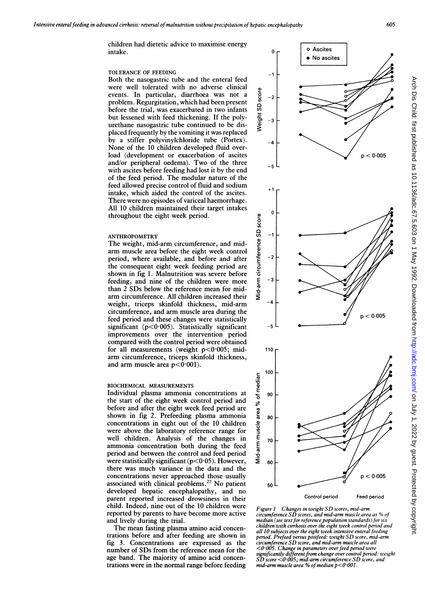children had dietetic advice to maximise energy intake.

# TOLERANCE OF FEEDING

Both the nasogastric tube and the enteral feed were well tolerated with no adverse clinical events. In particular, diarrhoea was not a problem. Regurgitation, which had been present before the trial, was exacerbated in two infants but lessened with feed thickening. If the polyurethane nasogastric tube continued to be displaced frequently by the vomiting it was replaced by a stiffer polyvinylchloride tube (Portex). None of the 10 children developed fluid overload (development or exacerbation of ascites and/or peripheral oedema). Two of the three with ascites before feeding had lost it by the end of the feed period. The modular nature of the feed allowed precise control of fluid and sodium intake, which aided the control of the ascites. There were no episodes of variceal haemorrhage. All 10 children maintained their target intakes throughout the eight week period.

## ANTHROPOMETRY

The weight, mid-arm circumference, and midarm muscle area before the eight week control period, where available, and before and after the consequent eight week feeding period are shown in fig 1. Malnutrition was severe before feeding, and nine of the children were more than 2 SDs below the reference mean for midarm circumference. All children increased their weight, triceps skinfold thickness, mid-arm circumference, and arm muscle area during the feed period and these changes were statistically significant ( $p<0.005$ ). Statistically significant improvements over the intervention period compared with the control period were obtained for all measurements (weight  $p<0.005$ ; midarm circumference, triceps skinfold thickness, and arm muscle area  $p < 0.001$ ).

## BIOCHEMICAL MEASUREMENTS

Individual plasma ammonia concentrations at the start of the eight week control period and before and after the eight week feed period are shown in fig 2. Prefeeding plasma ammonia concentrations in eight out of the 10 children were above the laboratory reference range for well children. Analysis of the changes in ammonia concentration both during the feed period and between the control and feed period were statistically significant ( $p$ <0.05). However, there was much variance in the data and the concentrations never approached those usually associated with clinical problems.<sup>27</sup> No patient developed hepatic encephalopathy, and no parent reported increased drowsiness in their child. Indeed, nine out of the 10 children were reported by parents to have become more active and lively during the trial.

The mean fasting plasma amino acid concentrations before and after feeding are shown in fig 3. Concentrations are expressed as the number of SDs from the reference mean for the age band. The majority of amino acid concentrations were in the normal range before feeding



Figure 1 – Changes in weight SD scores, mid-arm<br>circumference SD scores, and mid-arm muscle area as % of median (see text for reference population standards) for six children with cirrhosis over the eight week control period and all 10 subjects over the eight week intensive enteral feeding period. Prefeed versus postfeed: weight SD score, mid-arm circumference SD score, and mid-arm muscle area all <0 005. Change in parameters overfeed period were significantly different from change over control period: weight  $\overline{SD}$  score  $\leq$ 0.005; mid-arm circumference SD score, and mid-arm muscle area % of median  $p < 0.001$ .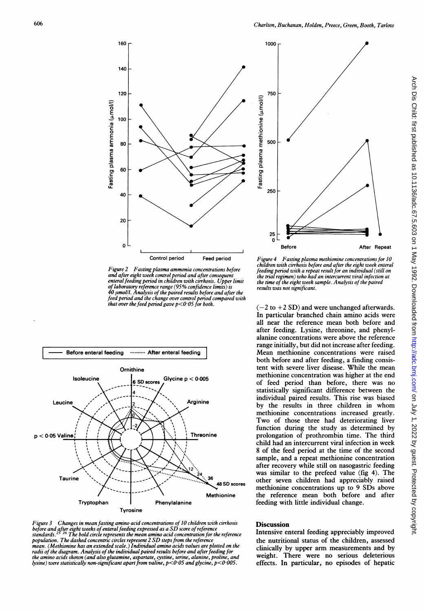

Figure 2 Fasting plasma ammonia concentrations before and after eight week control period and after consequent enteral feeding period in children with cirrhosis. Upper limit of laboratory reference range (95% confidence limits) is 40 µmol/l. Analysis of the paired results before and after the<br>feed period and the change over control period compared with that over the feed period gave  $p < 0.05$  for both.



Figure 3 Changes in mean fasting amino acid concentrations of 10 children with cirrhosis before and after eight weeks of enteral feeding expressed as a SD score of reference<br>standards.<sup>25–26</sup> The bold circle represents the mean amino acid concentration for the reference population. The dashed concentric circles represent <sup>2</sup> SD steps from the reference mean. (Methionine has an extended scale.) Individual amino acids values are plotted on the radii of the diagram. Analysis of the individual paired results before and after feeding for the amino acids shown (and also glutamine, aspartate, cystine, serine, alanine, proline, and lysine) were statistically non-significant apart from valine,  $p < 0.05$  and glycine,  $p < 0.005$ .



Figure 4 Fasting plasma methionine concentrations for 10 children with cirrhosis before and after the eight week enteral feeding period with a repeat result for an individual (still on the trial regimen) who had an intercurrent viral infection at the time of the eight week sample. Analysis of the paired results was not significant.

 $(-2$  to  $+2$  SD) and were unchanged afterwards. In particular branched chain amino acids were all near the reference mean both before and after feeding. Lysine, threonine, and phenylalanine concentrations were above the reference range initially, but did not increase after feeding. Mean methionine concentrations were raised both before and after feeding, a finding consistent with severe liver disease. While the mean methionine concentration was higher at the end of feed period than before, there was no statistically significant difference between the individual paired results. This rise was biased by the results in three children in whom methionine concentrations increased greatly. Two of those three had deteriorating liver function during the study as determined by prolongation of prothrombin time. The third child had an intercurrent viral infection in week 8 of the feed period at the time of the second sample, and a repeat methionine concentration after recovery while still on nasogastric feeding was similar to the prefeed value (fig 4). The other seven children had appreciably raised methionine concentrations up to 9 SDs above the reference mean both before and after feeding with little individual change.

# **Discussion**

Intensive enteral feeding appreciably improved the nutritional status of the children, assessed clinically by upper arm measurements and by weight. There were no serious deleterious effects. In particular, no episodes of hepatic